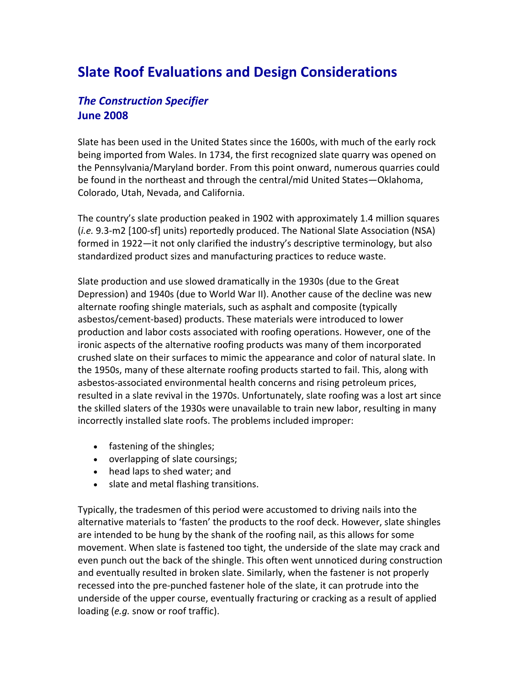# **Slate Roof Evaluations and Design Considerations**

# *The Construction Specifier* **June 2008**

Slate has been used in the United States since the 1600s, with much of the early rock being imported from Wales. In 1734, the first recognized slate quarry was opened on the Pennsylvania/Maryland border. From this point onward, numerous quarries could be found in the northeast and through the central/mid United States—Oklahoma, Colorado, Utah, Nevada, and California.

The country's slate production peaked in 1902 with approximately 1.4 million squares (*i.e.* 9.3‐m2 [100‐sf] units) reportedly produced. The National Slate Association (NSA) formed in 1922—it not only clarified the industry's descriptive terminology, but also standardized product sizes and manufacturing practices to reduce waste.

Slate production and use slowed dramatically in the 1930s (due to the Great Depression) and 1940s (due to World War II). Another cause of the decline was new alternate roofing shingle materials, such as asphalt and composite (typically asbestos/cement‐based) products. These materials were introduced to lower production and labor costs associated with roofing operations. However, one of the ironic aspects of the alternative roofing products was many of them incorporated crushed slate on their surfaces to mimic the appearance and color of natural slate. In the 1950s, many of these alternate roofing products started to fail. This, along with asbestos‐associated environmental health concerns and rising petroleum prices, resulted in a slate revival in the 1970s. Unfortunately, slate roofing was a lost art since the skilled slaters of the 1930s were unavailable to train new labor, resulting in many incorrectly installed slate roofs. The problems included improper:

- fastening of the shingles;
- overlapping of slate coursings;
- head laps to shed water; and
- slate and metal flashing transitions.

Typically, the tradesmen of this period were accustomed to driving nails into the alternative materials to 'fasten' the products to the roof deck. However, slate shingles are intended to be hung by the shank of the roofing nail, as this allows for some movement. When slate is fastened too tight, the underside of the slate may crack and even punch out the back of the shingle. This often went unnoticed during construction and eventually resulted in broken slate. Similarly, when the fastener is not properly recessed into the pre‐punched fastener hole of the slate, it can protrude into the underside of the upper course, eventually fracturing or cracking as a result of applied loading (*e.g.* snow or roof traffic).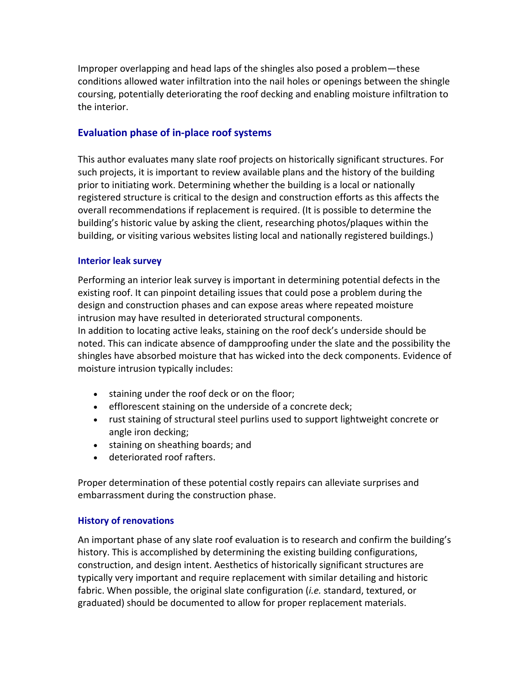Improper overlapping and head laps of the shingles also posed a problem—these conditions allowed water infiltration into the nail holes or openings between the shingle coursing, potentially deteriorating the roof decking and enabling moisture infiltration to the interior.

## **Evaluation phase of in‐place roof systems**

This author evaluates many slate roof projects on historically significant structures. For such projects, it is important to review available plans and the history of the building prior to initiating work. Determining whether the building is a local or nationally registered structure is critical to the design and construction efforts as this affects the overall recommendations if replacement is required. (It is possible to determine the building's historic value by asking the client, researching photos/plaques within the building, or visiting various websites listing local and nationally registered buildings.)

#### **Interior leak survey**

Performing an interior leak survey is important in determining potential defects in the existing roof. It can pinpoint detailing issues that could pose a problem during the design and construction phases and can expose areas where repeated moisture intrusion may have resulted in deteriorated structural components. In addition to locating active leaks, staining on the roof deck's underside should be noted. This can indicate absence of dampproofing under the slate and the possibility the shingles have absorbed moisture that has wicked into the deck components. Evidence of moisture intrusion typically includes:

- staining under the roof deck or on the floor;
- efflorescent staining on the underside of a concrete deck;
- rust staining of structural steel purlins used to support lightweight concrete or angle iron decking;
- staining on sheathing boards; and
- deteriorated roof rafters.

Proper determination of these potential costly repairs can alleviate surprises and embarrassment during the construction phase.

#### **History of renovations**

An important phase of any slate roof evaluation is to research and confirm the building's history. This is accomplished by determining the existing building configurations, construction, and design intent. Aesthetics of historically significant structures are typically very important and require replacement with similar detailing and historic fabric. When possible, the original slate configuration (*i.e.* standard, textured, or graduated) should be documented to allow for proper replacement materials.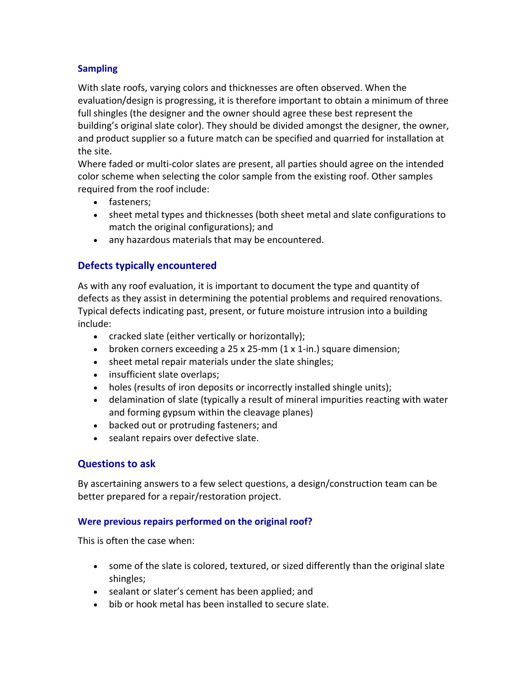## **Sampling**

With slate roofs, varying colors and thicknesses are often observed. When the evaluation/design is progressing, it is therefore important to obtain a minimum of three full shingles (the designer and the owner should agree these best represent the building's original slate color). They should be divided amongst the designer, the owner, and product supplier so a future match can be specified and quarried for installation at the site.

Where faded or multi‐color slates are present, all parties should agree on the intended color scheme when selecting the color sample from the existing roof. Other samples required from the roof include:

- fasteners;
- sheet metal types and thicknesses (both sheet metal and slate configurations to match the original configurations); and
- any hazardous materials that may be encountered.

# **Defects typically encountered**

As with any roof evaluation, it is important to document the type and quantity of defects as they assist in determining the potential problems and required renovations. Typical defects indicating past, present, or future moisture intrusion into a building include:

- cracked slate (either vertically or horizontally);
- broken corners exceeding a 25 x 25-mm (1 x 1-in.) square dimension;
- sheet metal repair materials under the slate shingles;
- insufficient slate overlaps;
- holes (results of iron deposits or incorrectly installed shingle units);
- delamination of slate (typically a result of mineral impurities reacting with water and forming gypsum within the cleavage planes)
- backed out or protruding fasteners; and
- sealant repairs over defective slate.

## **Questions to ask**

By ascertaining answers to a few select questions, a design/construction team can be better prepared for a repair/restoration project.

#### **Were previous repairs performed on the original roof?**

This is often the case when:

- some of the slate is colored, textured, or sized differently than the original slate shingles;
- sealant or slater's cement has been applied; and
- bib or hook metal has been installed to secure slate.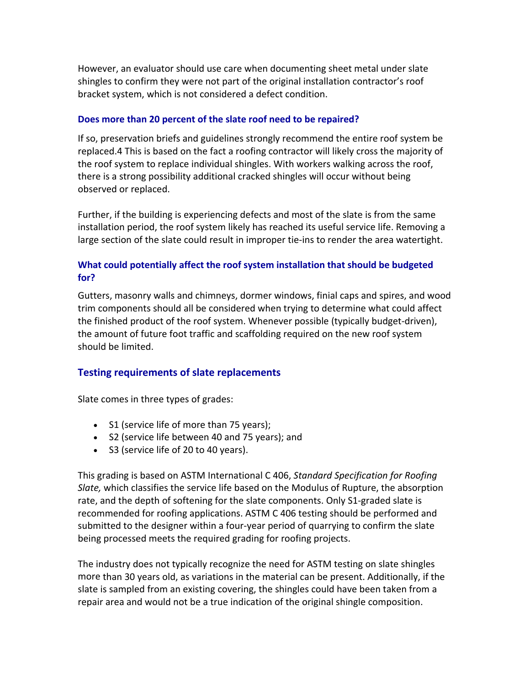However, an evaluator should use care when documenting sheet metal under slate shingles to confirm they were not part of the original installation contractor's roof bracket system, which is not considered a defect condition.

#### **Does more than 20 percent of the slate roof need to be repaired?**

If so, preservation briefs and guidelines strongly recommend the entire roof system be replaced.4 This is based on the fact a roofing contractor will likely cross the majority of the roof system to replace individual shingles. With workers walking across the roof, there is a strong possibility additional cracked shingles will occur without being observed or replaced.

Further, if the building is experiencing defects and most of the slate is from the same installation period, the roof system likely has reached its useful service life. Removing a large section of the slate could result in improper tie‐ins to render the area watertight.

## **What could potentially affect the roof system installation that should be budgeted for?**

Gutters, masonry walls and chimneys, dormer windows, finial caps and spires, and wood trim components should all be considered when trying to determine what could affect the finished product of the roof system. Whenever possible (typically budget‐driven), the amount of future foot traffic and scaffolding required on the new roof system should be limited.

## **Testing requirements of slate replacements**

Slate comes in three types of grades:

- S1 (service life of more than 75 years);
- S2 (service life between 40 and 75 years); and
- S3 (service life of 20 to 40 years).

This grading is based on ASTM International C 406, *Standard Specification for Roofing Slate,* which classifies the service life based on the Modulus of Rupture, the absorption rate, and the depth of softening for the slate components. Only S1-graded slate is recommended for roofing applications. ASTM C 406 testing should be performed and submitted to the designer within a four‐year period of quarrying to confirm the slate being processed meets the required grading for roofing projects.

The industry does not typically recognize the need for ASTM testing on slate shingles more than 30 years old, as variations in the material can be present. Additionally, if the slate is sampled from an existing covering, the shingles could have been taken from a repair area and would not be a true indication of the original shingle composition.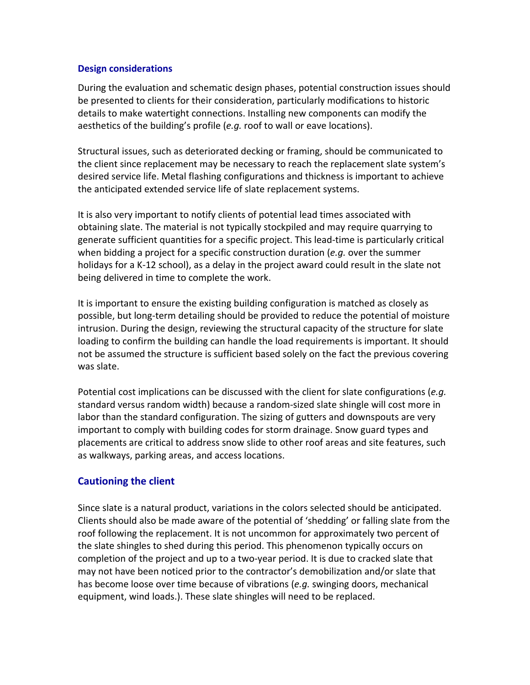#### **Design considerations**

During the evaluation and schematic design phases, potential construction issues should be presented to clients for their consideration, particularly modifications to historic details to make watertight connections. Installing new components can modify the aesthetics of the building's profile (*e.g.* roof to wall or eave locations).

Structural issues, such as deteriorated decking or framing, should be communicated to the client since replacement may be necessary to reach the replacement slate system's desired service life. Metal flashing configurations and thickness is important to achieve the anticipated extended service life of slate replacement systems.

It is also very important to notify clients of potential lead times associated with obtaining slate. The material is not typically stockpiled and may require quarrying to generate sufficient quantities for a specific project. This lead-time is particularly critical when bidding a project for a specific construction duration (*e.g.* over the summer holidays for a K‐12 school), as a delay in the project award could result in the slate not being delivered in time to complete the work.

It is important to ensure the existing building configuration is matched as closely as possible, but long‐term detailing should be provided to reduce the potential of moisture intrusion. During the design, reviewing the structural capacity of the structure for slate loading to confirm the building can handle the load requirements is important. It should not be assumed the structure is sufficient based solely on the fact the previous covering was slate.

Potential cost implications can be discussed with the client for slate configurations (*e.g.* standard versus random width) because a random‐sized slate shingle will cost more in labor than the standard configuration. The sizing of gutters and downspouts are very important to comply with building codes for storm drainage. Snow guard types and placements are critical to address snow slide to other roof areas and site features, such as walkways, parking areas, and access locations.

## **Cautioning the client**

Since slate is a natural product, variations in the colors selected should be anticipated. Clients should also be made aware of the potential of 'shedding' or falling slate from the roof following the replacement. It is not uncommon for approximately two percent of the slate shingles to shed during this period. This phenomenon typically occurs on completion of the project and up to a two‐year period. It is due to cracked slate that may not have been noticed prior to the contractor's demobilization and/or slate that has become loose over time because of vibrations (*e.g.* swinging doors, mechanical equipment, wind loads.). These slate shingles will need to be replaced.